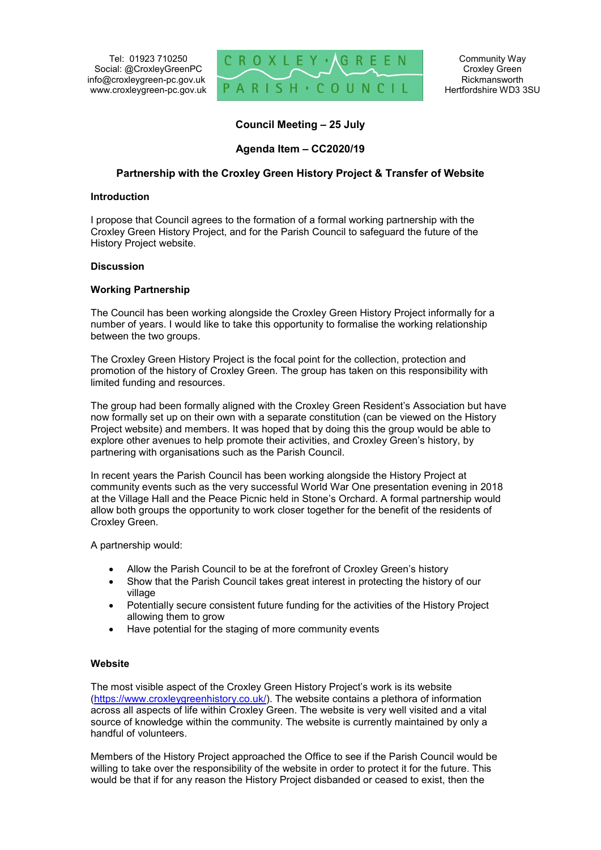Tel: 01923 710250 Social: @CroxleyGreenPC info@croxleygreen-pc.gov.uk www.croxleygreen-pc.gov.uk



Community Way Croxley Green Rickmansworth Hertfordshire WD3 3SU

**Council Meeting – 25 July**

# **Agenda Item – CC2020/19**

## **Partnership with the Croxley Green History Project & Transfer of Website**

#### **Introduction**

I propose that Council agrees to the formation of a formal working partnership with the Croxley Green History Project, and for the Parish Council to safeguard the future of the History Project website.

#### **Discussion**

## **Working Partnership**

The Council has been working alongside the Croxley Green History Project informally for a number of years. I would like to take this opportunity to formalise the working relationship between the two groups.

The Croxley Green History Project is the focal point for the collection, protection and promotion of the history of Croxley Green. The group has taken on this responsibility with limited funding and resources.

The group had been formally aligned with the Croxley Green Resident's Association but have now formally set up on their own with a separate constitution (can be viewed on the History Project website) and members. It was hoped that by doing this the group would be able to explore other avenues to help promote their activities, and Croxley Green's history, by partnering with organisations such as the Parish Council.

In recent years the Parish Council has been working alongside the History Project at community events such as the very successful World War One presentation evening in 2018 at the Village Hall and the Peace Picnic held in Stone's Orchard. A formal partnership would allow both groups the opportunity to work closer together for the benefit of the residents of Croxley Green.

A partnership would:

- Allow the Parish Council to be at the forefront of Croxley Green's history
- Show that the Parish Council takes great interest in protecting the history of our village
- Potentially secure consistent future funding for the activities of the History Project allowing them to grow
- Have potential for the staging of more community events

#### **Website**

The most visible aspect of the Croxley Green History Project's work is its website (https://www.croxleygreenhistory.co.uk/). The website contains a plethora of information across all aspects of life within Croxley Green. The website is very well visited and a vital source of knowledge within the community. The website is currently maintained by only a handful of volunteers.

Members of the History Project approached the Office to see if the Parish Council would be willing to take over the responsibility of the website in order to protect it for the future. This would be that if for any reason the History Project disbanded or ceased to exist, then the